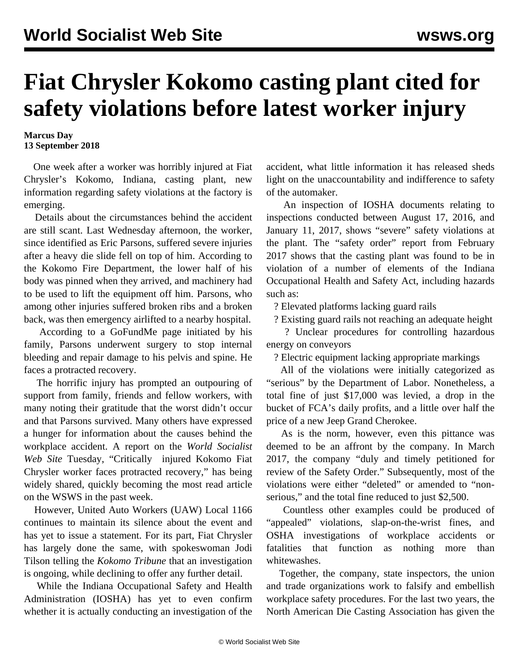## **Fiat Chrysler Kokomo casting plant cited for safety violations before latest worker injury**

## **Marcus Day 13 September 2018**

 One week after a worker was horribly injured at Fiat Chrysler's Kokomo, Indiana, casting plant, new information regarding safety violations at the factory is emerging.

 Details about the circumstances behind the accident are still scant. Last Wednesday afternoon, the worker, since identified as Eric Parsons, suffered severe injuries after a heavy die slide fell on top of him. According to the Kokomo Fire Department, the lower half of his body was pinned when they arrived, and machinery had to be used to lift the equipment off him. Parsons, who among other injuries suffered broken ribs and a broken back, was then emergency airlifted to a nearby hospital.

 According to a [GoFundMe](https://www.gofundme.com/eric-strong) [page](https://www.gofundme.com/eric-strong) initiated by his family, Parsons underwent surgery to stop internal bleeding and repair damage to his pelvis and spine. He faces a protracted recovery.

 The horrific injury has prompted an outpouring of support from family, friends and fellow workers, with many noting their gratitude that the worst didn't occur and that Parsons survived. Many others have expressed a hunger for information about the causes behind the workplace accident. A report on the *World Socialist Web Site* Tuesday, ["Critically injured Kokomo Fiat](/en/articles/2018/09/11/koko-s11.html) [Chrysler worker faces protracted recovery](/en/articles/2018/09/11/koko-s11.html)," has being widely shared, quickly becoming the most read article on the WSWS in the past week.

 However, United Auto Workers (UAW) Local 1166 continues to maintain its silence about the event and has yet to issue a statement. For its part, Fiat Chrysler has largely done the same, with spokeswoman Jodi Tilson telling the *Kokomo Tribune* that an investigation is ongoing, while declining to offer any further detail.

 While the Indiana Occupational Safety and Health Administration (IOSHA) has yet to even confirm whether it is actually conducting an investigation of the accident, what little information it has released sheds light on the unaccountability and indifference to safety of the automaker.

 An inspection of IOSHA [documents](https://www.in.gov/dol/files/FCA%20KOKOMO%20CASTING.pdf) relating to inspections conducted between August 17, 2016, and January 11, 2017, shows "severe" safety violations at the plant. The "safety order" report from February 2017 shows that the casting plant was found to be in violation of a number of elements of the Indiana Occupational Health and Safety Act, including hazards such as:

? Elevated platforms lacking guard rails

? Existing guard rails not reaching an adequate height

 ? Unclear procedures for controlling hazardous energy on conveyors

? Electric equipment lacking appropriate markings

 All of the violations were initially categorized as "serious" by the Department of Labor. Nonetheless, a total fine of just \$17,000 was levied, a drop in the bucket of FCA's daily profits, and a little over half the price of a new Jeep Grand Cherokee.

 As is the norm, however, even this pittance was deemed to be an affront by the company. In March 2017, the company "duly and timely petitioned for review of the Safety Order." Subsequently, most of the violations were either "deleted" or amended to "nonserious," and the total fine reduced to just \$2,500.

 Countless other examples could be produced of "appealed" violations, slap-on-the-wrist fines, and OSHA investigations of workplace accidents or fatalities that function as nothing more than whitewashes.

 Together, the company, state inspectors, the union and trade organizations work to falsify and embellish workplace safety procedures. For the last two years, the North American Die Casting Association has given the